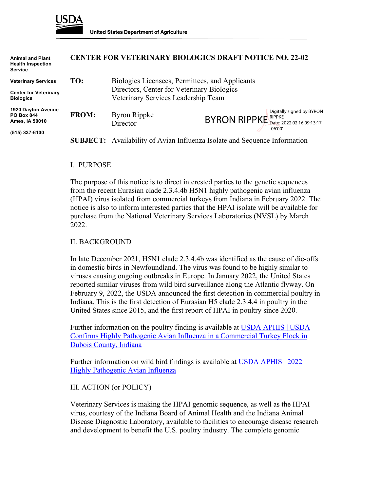

| <b>Animal and Plant</b><br><b>Health Inspection</b><br><b>Service</b> | <b>CENTER FOR VETERINARY BIOLOGICS DRAFT NOTICE NO. 22-02</b> |                                                                                                                                      |                                                                                  |
|-----------------------------------------------------------------------|---------------------------------------------------------------|--------------------------------------------------------------------------------------------------------------------------------------|----------------------------------------------------------------------------------|
| <b>Veterinary Services</b>                                            | TO:                                                           | Biologics Licensees, Permittees, and Applicants<br>Directors, Center for Veterinary Biologics<br>Veterinary Services Leadership Team |                                                                                  |
| <b>Center for Veterinary</b><br><b>Biologics</b>                      |                                                               |                                                                                                                                      |                                                                                  |
| 1920 Dayton Avenue<br><b>PO Box 844</b><br>Ames, IA 50010             | <b>FROM:</b>                                                  | Byron Rippke<br>Director                                                                                                             | Digitally signed by BYRON<br>BYRON RIPPKE Date: 2022.02.16 09:13:17<br>$-06'00'$ |
| (515) 337-6100                                                        |                                                               | <b>SUBJECT:</b> Availability of Avian Influenza Isolate and Sequence Information                                                     |                                                                                  |
|                                                                       |                                                               |                                                                                                                                      |                                                                                  |

#### I. PURPOSE

The purpose of this notice is to direct interested parties to the genetic sequences from the recent Eurasian clade 2.3.4.4b H5N1 highly pathogenic avian influenza (HPAI) virus isolated from commercial turkeys from Indiana in February 2022. The notice is also to inform interested parties that the HPAI isolate will be available for purchase from the National Veterinary Services Laboratories (NVSL) by March 2022.

### II. BACKGROUND

In late December 2021, H5N1 clade 2.3.4.4b was identified as the cause of die-offs in domestic birds in Newfoundland. The virus was found to be highly similar to viruses causing ongoing outbreaks in Europe. In January 2022, the United States reported similar viruses from wild bird surveillance along the Atlantic flyway. On February 9, 2022, the USDA announced the first detection in commercial poultry in Indiana. This is the first detection of Eurasian H5 clade 2.3.4.4 in poultry in the United States since 2015, and the first report of HPAI in poultry since 2020.

Further information on the poultry finding is available at [USDA APHIS | USDA](https://www.aphis.usda.gov/aphis/newsroom/stakeholder-info/sa_by_date/sa-2022/hpai-indiana) [Confirms Highly Pathogenic Avian Influenza in a Commercial Turkey Flock in](https://www.aphis.usda.gov/aphis/newsroom/stakeholder-info/sa_by_date/sa-2022/hpai-indiana) [Dubois County, Indiana](https://www.aphis.usda.gov/aphis/newsroom/stakeholder-info/sa_by_date/sa-2022/hpai-indiana)

Further information on wild bird findings is available at [USDA APHIS | 2022](https://www.aphis.usda.gov/aphis/ourfocus/animalhealth/animal-disease-information/avian/avian-influenza/2022-hpai) [Highly Pathogenic Avian Influenza](https://www.aphis.usda.gov/aphis/ourfocus/animalhealth/animal-disease-information/avian/avian-influenza/2022-hpai)

### III. ACTION (or POLICY)

Veterinary Services is making the HPAI genomic sequence, as well as the HPAI virus, courtesy of the Indiana Board of Animal Health and the Indiana Animal Disease Diagnostic Laboratory, available to facilities to encourage disease research and development to benefit the U.S. poultry industry. The complete genomic